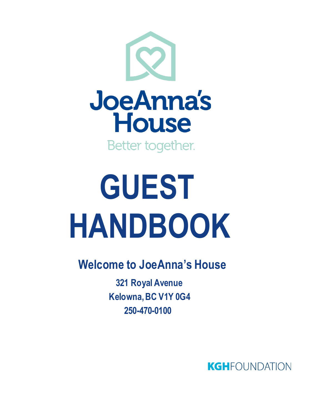

# **GUEST HANDBOOK**

 **Welcome to JoeAnna's House**

 **321 Royal Avenue Kelowna, BC V1Y 0G4 250-470-0100**

**KGH**FOUNDATION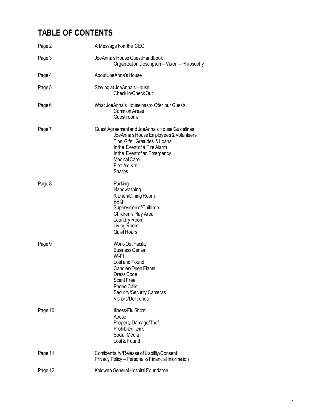# **TABLE OF CONTENTS**

| Page 2  | A Message from the CEO                                                                                                                                                                                                                              |
|---------|-----------------------------------------------------------------------------------------------------------------------------------------------------------------------------------------------------------------------------------------------------|
| Page 3  | JoeAnna's House Guest Handbook<br>Organization Description - Vision - Philosophy                                                                                                                                                                    |
| Page 4  | About JoeAnna's House                                                                                                                                                                                                                               |
| Page 5  | Staying at JoeAnna's House<br>Check In/Check Out                                                                                                                                                                                                    |
| Page 6  | What JoeAnna's House has to Offer our Guests<br>Common Areas<br>Guest rooms                                                                                                                                                                         |
| Page 7  | Guest Agreement and JoeAnna's House Guidelines<br>JoeAnna's House Employees & Volunteers<br>Tips, Gifts, Gratuities & Loans<br>In the Eventof a Fire Alarm<br>In the Eventof an Emergency<br>Medical Care<br><b>First Aid Kits</b><br><b>Sharps</b> |
| Page 8  | Parking<br>Handwashing<br>Kitchen/Dining Room<br><b>BBQ</b><br>Supervision of Children<br>Children's Play Area<br>Laundry Room<br>Living Room<br><b>Quiet Hours</b>                                                                                 |
| Page 9  | <b>Work-Out Facility</b><br><b>Business Center</b><br>Wi-Fi<br>Lost and Found<br>Candles/Open Flame<br>Dress Code<br><b>Scent Free</b><br><b>Phone Calls</b><br>Security/Security Cameras<br>Visitors/Deliveries                                    |
| Page 10 | Illness/Flu Shots<br>Abuse<br><b>Property Damage/Theft</b><br>Prohibited Items<br>Social Media<br>Lost & Found                                                                                                                                      |
| Page 11 | Confidentiality/Release of Liability/Consent<br>Privacy Policy - Personal & Financial Information                                                                                                                                                   |
| Page 12 | Kelowna General Hospital Foundation                                                                                                                                                                                                                 |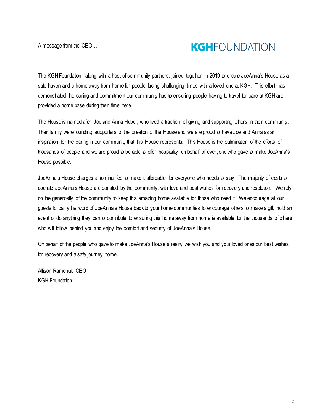A message from the CEO…

# **KGH**FOUNDATION

The KGH Foundation, along with a host of community partners, joined together in 2019 to create JoeAnna's House as a safe haven and a home away from home for people facing challenging times with a loved one at KGH. This effort has demonstrated the caring and commitment our community has to ensuring people having to travel for care at KGH are provided a home base during their time here.

The House is named after Joe and Anna Huber, who lived a tradition of giving and supporting others in their community. Their family were founding supporters of the creation of the House and we are proud to have Joe and Anna as an inspiration for the caring in our community that this House represents. This House is the culmination of the efforts of thousands of people and we are proud to be able to offer hospitality on behalf of everyone who gave to make JoeAnna's House possible.

JoeAnna's House charges a nominal fee to make it affordable for everyone who needs to stay. The majority of costs to operate JoeAnna's House are donated by the community, with love and best wishes for recovery and resolution. We rely on the generosity of the community to keep this amazing home available for those who need it. We encourage all our guests to carry the word of JoeAnna's House back to your home communities to encourage others to make a gift, hold an event or do anything they can to contribute to ensuring this home away from home is available for the thousands of others who will follow behind you and enjoy the comfort and security of JoeAnna's House.

On behalf of the people who gave to make JoeAnna's House a reality we wish you and your loved ones our best wishes for recovery and a safe journey home.

Allison Ramchuk, CEO KGH Foundation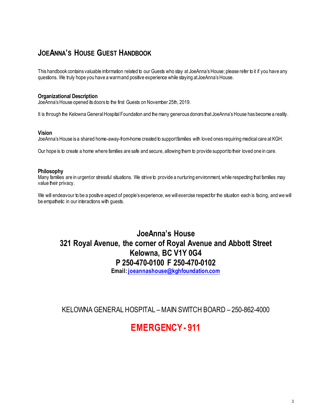# **JOEANNA'S HOUSE GUEST HANDBOOK**

This handbook contains valuable information related to our Guests who stay at JoeAnna's House; please refer to it if you have any questions. We truly hope you have a warm and positive experience while staying at JoeAnna's House.

#### **Organizational Description**

JoeAnna's House opened its doors to the first Guests on November 25th, 2019.

It is through the Kelowna General Hospital Foundation and the many generous donors that JoeAnna's House has become a reality.

#### **Vision**

JoeAnna's House is a shared home-away-from-home created to support families with loved ones requiring medical care at KGH.

Our hope is to create a home where families are safe and secure, allowing them to provide support to their loved one in care.

#### **Philosophy**

Many families are in urgentor stressful situations. We strive to provide a nurturing environment, while respecting that families may value their privacy.

We will endeavour to be a positive aspect of people's experience, we will exercise respect for the situation each is facing, and we will be empathetic in our interactions with guests.

# **JoeAnna's House 321 Royal Avenue, the corner of Royal Avenue and Abbott Street Kelowna, BC V1Y 0G4 P 250-470-0100 F 250-470-0102 Email: [joeannashouse@kghfoundation.com](mailto:joeannashouse@kghfoundation.com)**

KELOWNA GENERAL HOSPITAL – MAIN SWITCH BOARD – 250-862-4000

# **EMERGENCY - 911**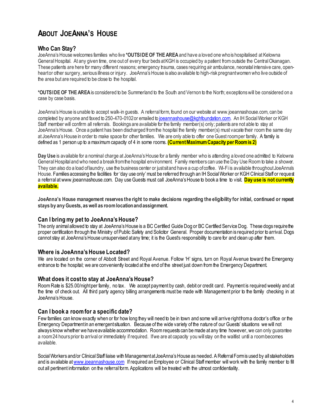# **ABOUT JOEANNA'S HOUSE**

## **Who Can Stay?**

JoeAnna's House welcomes families who live **\*OUTSIDE OF THE AREA** and have a loved one who is hospitalised at Kelowna General Hospital. At any given time, one out of every four beds at KGH is occupied by a patient from outside the Central Okanagan. These patients are here for many different reasons; emergency trauma, cases requiring air ambulance, neonatal intensive care, openheart or other surgery, serious illness or injury. JoeAnna's House is also available to high-risk pregnant women who live outside of the area but are required to be close to the hospital.

**\*OUTSIDE OF THE AREA** is considered to be Summerland to the South and Vernon to the North; exceptions will be considered on a case by case basis.

JoeAnna's House is unable to accept walk-in guests. A referral form, found on our website a[t www.joeannashouse.com](http://www.joeannashouse.com/), can be completed by anyone and faxed to 250-470-0102 or emailed to [joeannashouse@kghfoundation.com](mailto:joeannashouse@kghfoundation.com). An IH Social Worker or KGH Staff member will confirm all referrals. Bookings are available for the family member(s) only; patients are not able to stay at JoeAnna's House. Once a patient has been discharged from the hospital the family member(s) must vacate their room the same day at JoeAnna's House in order to make space for other families. We are only able to offer one Guest room per family. A family is defined as 1 person up to a maximum capacity of 4 in some rooms. **(Current Maximum Capacity per Room is 2)**

Dav Use is available for a nominal charge at JoeAnna's House for a family member who is attending a loved one admitted to Kelowna General Hospital and who need a break from the hospital environment. Family members can use the Day Use Room to take a shower. They can also do a load of laundry, use the business center or just sit and have a cup of coffee. Wi-Fi is available throughout JoeAnna's House. Families accessing the facilities for 'day use only' must be referred through an IH Social Worker or KGH Clinical Staff or request a referral at www.joeannashouse.com. Day use Guests must call JoeAnna's House to book a time to visit. **Day use is not currently available.** 

**JoeAnna's House management reserves the right to make decisions regarding the eligibility for initial, continued or repeat stays by any Guests, as well as room location and assignment.** 

## **Can I bring my pet to JoeAnna's House?**

The only animal allowed to stay at JoeAnna's House is a BC Certified Guide Dog or BC Certified Service Dog. These dogs require the proper certification through the Ministry of Public Safety and Solicitor General. Proper documentation is required prior to arrival. Dogs cannot stay at JoeAnna's House unsupervised at any time; it is the Guest's responsibility to care for and clean up after them.

#### **Where is JoeAnna's House Located?**

We are located on the corner of Abbott Street and Royal Avenue. Follow 'H' signs, turn on Royal Avenue toward the Emergency entrance to the hospital; we are conveniently located at the end of the street just down from the Emergency Department.

#### **What does it cost to stay at JoeAnna's House?**

Room Rate is \$25.00/night per family, no tax. We accept payment by cash, debit or credit card. Payment is required weekly and at the time of check out. All third party agency billing arrangements must be made with Management prior to the family checking in at JoeAnna's House.

#### **Can I book a room for a specific date?**

Few families can know exactly when or for how long they will need to be in town and some will arrive right from a doctor's office or the Emergency Department in an emergent situation. Because of the wide variety of the nature of our Guests' situations we will not always know whether we have available accommodation. Room requests can be made at any time however, we can only guarantee a room 24 hours prior to arrival or immediately if required. If we are at capacity you will stay on the waitlist until a room becomes available.

Social Workers and/or Clinical Staff liaise with Management at JoeAnna's House as needed. A Referral Form is used by all stakeholders and is available a[t www.joeannashouse.com](http://www.joeannashouse.com/) If required an Employee or Clinical Staff member will work with the family member to fill out all pertinent information on the referral form. Applications will be treated with the utmost confidentiality.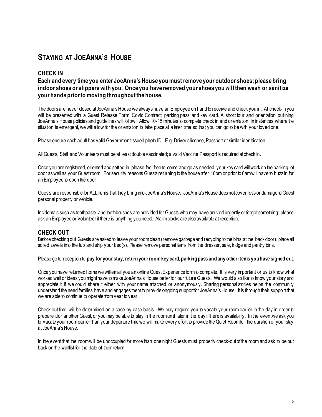# **STAYING AT JOEANNA'S HOUSE**

## **CHECK IN**

## **Each and every time you enter JoeAnna's House you must remove your outdoor shoes; please bring indoor shoes or slippers with you. Once you have removed your shoes you will then wash or sanitize your hands prior to moving throughout the house.**

The doors are never closed at JoeAnna's House we always have an Employee on hand to receive and check you in. At check-in you will be presented with a Guest Release Form, Covid Contract, parking pass and key card. A short tour and orientation outlining JoeAnna's House policies and guidelines will follow. Allow 10-15 minutes to complete check in and orientation. In instances where the situation is emergent, we will allow for the orientation to take place at a later time so that you can go to be with your loved one.

Please ensure each adult has valid Government Issued photo ID. E.g. Driver's license, Passport or similar identification.

All Guests, Staff and Volunteers must be at least double vaccinated; a valid Vaccine Passport is required at check in.

Once you are registered, oriented and settled in, please feel free to come and go as needed; your key card will work on the parking lot door as well as your Guestroom. For security reasons Guests returning to the house after 10pm or prior to 6am will have to buzz in for an Employee to open the door.

Guests are responsible for ALL items that they bring into JoeAnna's House. JoeAnna's House does not cover loss or damage to Guest personal property or vehicle.

Incidentals such as toothpaste and toothbrushes are provided for Guests who may have arrived urgently or forgot something; please ask an Employee or Volunteer if there is anything you need. Alarm clocks are also available at reception.

## **CHECK OUT**

Before checking out Guests are asked to leave your room clean (remove garbage and recycling to the bins at the back door), place all soiled towels into the tub and strip your bed(s). Please remove personal items from the dresser, safe, fridge and pantry bins.

Please go to reception to **pay for your stay, return your room key card, parking pass and any other items you have signed out.** 

Once you have returned home we will email you an online Guest Experience form to complete. It is very important for us to know what worked well or ideas you might have to make JoeAnna's House better for our future Guests. We would also like to know your story and appreciate it if we could share it either with your name attached or anonymously. Sharing personal stories helps the community understand the need families have and engages them to provide ongoing support for JoeAnna's House. It is through their support that we are able to continue to operate from year to year.

Check out time will be determined on a case by case basis. We may require you to vacate your room earlier in the day in order to prepare it for another Guest, or you may be able to stay in the room until later in the day if there is availability. In the event we ask you to vacate your room earlier than your departure time we will make every effort to provide the Quiet Room for the duration of your stay at JoeAnna's House.

In the event that the room will be unoccupied for more than one night Guests must properly check-out of the room and ask to be put back on the waitlist for the date of their return.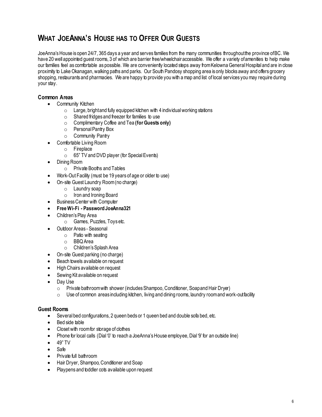# **WHAT JOEANNA'S HOUSE HAS TO OFFER OUR GUESTS**

JoeAnna's House is open 24/7, 365 days a year and serves families from the many communities throughout the province of BC. We have 20 well appointed guest rooms, 3 of which are barrier free/wheelchair accessible. We offer a variety of amenities to help make our families feel as comfortable as possible. We are conveniently located steps away from Kelowna General Hospital and are in close proximity to Lake Okanagan, walking paths and parks. Our South Pandosy shopping area is only blocks away and offers grocery shopping, restaurants and pharmacies. We are happy to provide you with a map and list of local services you may require during your stay.

## **Common Areas**

- Community Kitchen
	- $\circ$  Large, bright and fully equipped kitchen with 4 individual working stations
	- $\circ$  Shared fridges and freezer for families to use
	- o Complimentary Coffee and Tea **(for Guests only)**
	- o Personal Pantry Box
	- o Community Pantry
- Comfortable Living Room
	- o Fireplace
	- $\circ$  65" TV and DVD player (for Special Events)
- Dining Room
	- o Private Booths and Tables
- Work-Out Facility (must be 19 years of age or older to use)
- On-site Guest Laundry Room (no charge)
	- o Laundry soap
	- o Iron and Ironing Board
- Business Center with Computer
- **Free Wi-Fi Password JoeAnna321**
- Children's Play Area
	- o Games, Puzzles, Toys etc.
- Outdoor Areas Seasonal
	- $\circ$  Patio with seating
	- o BBQ Area
	- o Children's Splash Area
- On-site Guest parking (no charge)
- Beach towels available on request
- High Chairs available on request
- Sewing Kit available on request
- Day Use
	- $\circ$  Private bathroom with shower (includes Shampoo, Conditioner, Soap and Hair Dryer)
	- $\circ$  Use of common areas including kitchen, living and dining rooms, laundry room and work-out facility

## **Guest Rooms**

- Several bed configurations, 2 queen beds or 1 queen bed and double sofa bed, etc.
- Bed side table
- Closet with room for storage of clothes
- Phone for local calls (Dial '0' to reach a JoeAnna's House employee, Dial '9' for an outside line)
- $-49"$  TV
- Safe
- Private full bathroom
- Hair Dryer, Shampoo, Conditioner and Soap
- Playpens and toddler cots available upon request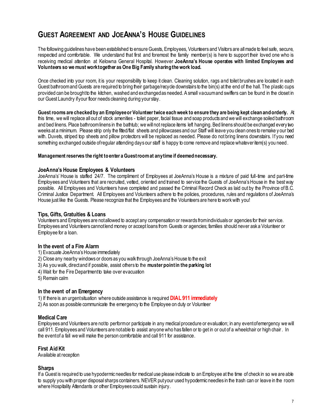# **GUEST AGREEMENT AND JOEANNA'S HOUSE GUIDELINES**

The following guidelines have been established to ensure Guests, Employees, Volunteers and Visitors are all made to feel safe, secure, respected and comfortable. We understand that first and foremost the family member(s) is here to support their loved one who is receiving medical attention at Kelowna General Hospital. However **JoeAnna's House operates with limited Employees and Volunteers so we must work together as One Big Family sharing the work load.** 

Once checked into your room, it is your responsibility to keep it clean. Cleaning solution, rags and toilet brushes are located in each Guest bathroom and Guests are required to bring their garbage/recycle downstairs to the bin(s) at the end of the hall. The plastic cups provided can be brought to the kitchen, washed and exchanged as needed. A small vacuum and swiffers can be found in the closet in our Guest Laundry if your floor needs cleaning during your stay.

**Guest rooms are checked by an Employee or Volunteer twice each week to ensure they are being kept clean and orderly.** At this time, we will replace all out of stock amenities - toilet paper, facial tissue and soap products and we will exchange soiled bathroom and bed linens. Place bathroom linens in the bathtub; we will not replace items left hanging. Bed linens should be exchanged every two weeks at a minimum. Please strip only the fitted/flat sheets and pillowcases and our Staff will leave you clean ones to remake y our bed with. Duvets, striped top sheets and pillow protectors will be replaced as needed. Please do not bring linens downstairs. If you need something exchanged outside of regular attending days our staff is happy to come remove and replace whatever item(s) you need.

#### **Management reserves the right to enter a Guest room at any time if deemed necessary.**

#### **JoeAnna's House Employees & Volunteers**

JoeAnna's' House is staffed 24/7. The compliment of Employees at JoeAnna's House is a mixture of paid full-time and part-time Employees and Volunteers that are recruited, vetted, oriented and trained to service the Guests of JoeAnna's House in the best way possible. All Employees and Volunteers have completed and passed the Criminal Record Check as laid out by the Province of B.C. Criminal Justice Department. All Employees and Volunteers adhere to the policies, procedures, rules and regulations of JoeAnna's House just like the Guests. Please recognize that the Employees and the Volunteers are here to work with you!

#### **Tips, Gifts, Gratuities & Loans**

Volunteers and Employees are not allowed to accept any compensation or rewards from individuals or agencies for their service. Employees and Volunteers cannot lend money or accept loans from Guests or agencies; families should never ask a Volunteer or Employee for a loan.

#### **In the event of a Fire Alarm**

- 1) Evacuate JoeAnna's House immediately
- 2) Close any nearby windows or doors as you walk through JoeAnna's House to the exit
- 3) As you walk, direct and if possible, assist others to the **muster point in the parking lot**
- 4) Wait for the Fire Department to take over evacuation
- 5) Remain calm

#### **In the event of an Emergency**

1) If there is an urgent situation where outside assistance is required **DIAL 911 immediately**

2) As soon as possible communicate the emergency to the Employee on duty or Volunteer

#### **Medical Care**

Employees and Volunteers are not to perform or participate in any medical procedure or evaluation; in any event of emergency we will call 911. Employees and Volunteers are not able to assist anyone who has fallen or to get in or out of a wheelchair or high chair. In the event of a fall we will make the person comfortable and call 911 for assistance.

#### **First Aid Kit**

Available at reception

#### **Sharps**

If a Guest is required to use hypodermic needles for medical use please indicate to an Employee at the time of check in so we are able to supply you with proper disposal sharps containers. NEVER put your used hypodermic needles in the trash can or leave in the room where Hospitality Attendants or other Employees could sustain injury.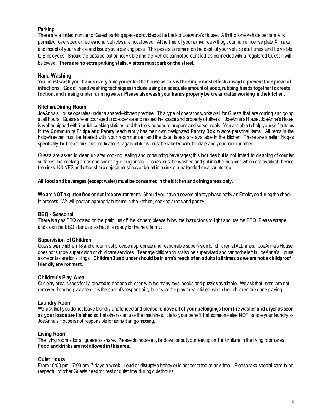## **Parking**

There are a limited number of Guest parking spaces provided at the back of JoeAnna's House. A limit of one vehicle per family is permitted; oversized or recreational vehicles are not allowed. At the time of your arrival we will log your name, license plate #, make and model of your vehicle and issue you a parking pass. This pass is to remain on the dash of your vehicle at all times and be visible to Employees. Should the pass be lost or not visible and the vehicle cannot be identified as connected with a registered Guest, it will be towed. **There are no extra parking stalls, visitors must park on the street.** 

#### **Hand Washing**

**You must wash your hands every time you enter the house as this is the single most effective way to prevent the spread of infections. "Good" hand washing techniques include using an adequate amount of soap, rubbing hands together to create friction, and rinsing under running water. Please also wash your hands properly before and after working in the kitchen.** 

#### **Kitchen/Dining Room**

JoeAnna's House operates under a shared–kitchen premise. This type of operation works well for Guests that are coming and going at all hours. Guests are encouraged to co-operate and respect the space and property of others in JoeAnna's House. JoeAnna's House is well equipped with four full cooking stations and the tools needed to prepare and serve meals. You are able to help yourself to items in the **Community Fridge and Pantry;** each family has their own designated **Pantry Box** to store personal items. All items in the fridge/freezer must be labeled with your room number and the date; labels are available in the kitchen. There are smaller fridges specifically for breast milk and medications; again all items must be labeled with the date and your room number.

Guests are asked to clean up after cooking, eating and consuming beverages; this includes but is not limited to cleaning of counter surfaces, the cooking areas and sanitizing dining areas. Dishes must be washed and put into the bus bins which are available beside the sinks. KNIVES and other sharp objects must never be left in a sink or unattended on a countertop.

#### **All food and beverages (except water) must be consumed in the kitchen and dining areas only.**

**We are NOT a gluten free or nut free environment.** Should you have a severe allergy please notify an Employee during the checkin process. We will post an appropriate memo in the kitchen, cooking areas and pantry.

#### **BBQ - Seasonal**

There is a gas BBQ located on the patio just off the kitchen; please follow the instructions to light and use the BBQ. Please scrape and clean the BBQ after use so that it is ready for the next family.

#### **Supervision of Children**

Guests with children 18 and under must provide appropriate and responsible supervision for children at ALL times. JoeAnna's House does not supply supervision or child care services. Teenage children mustalso be supervised and cannot be left in JoeAnna's House alone or to care for siblings. **Children 3 and under should be in arm's reach of an adult at all times as we are not a childproof friendly environment.**

#### **Children's Play Area**

Our play area is specifically created to engage children with the many toys, books and puzzles available. We ask that items are not removed from the play area. It is the parent's responsibility to ensure the play area is tidied when their children are done playing.

#### **Laundry Room**

We ask that you do not leave laundry unattended and **please remove all of your belongings from the washer and dryer as soon**  as your loads are finished so that others can use the machines. It is to your benefit that someone else NOT handle your laundry as JoeAnna's House is not responsible for items that go missing.

#### **Living Room**

The living room is for all guests to share. Please do not sleep, lie down or put your feet up on the furniture in the living room area. **Food and drinks are not allowed in this area.**

#### **Quiet Hours**

From 10:00 pm - 7:00 am, 7 days a week. Loud or disruptive behavior is not permitted at any time. Please take special care to be respectful of other Guests need for rest or quiet time during quiet hours.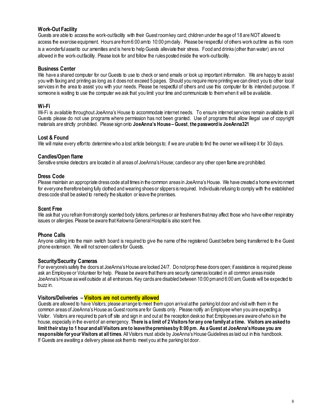### **Work-Out Facility**

Guests are able to access the work-out facility with their Guest room key card; children under the age of 18 are NOT allowed to access the exercise equipment. Hours are from 6:00 am to 10:00 pm daily. Please be respectful of others work out time as this room is a wonderful assetto our amenities and is here to help Guests alleviate their stress. Food and drinks (other than water) are not allowed in the work-out facility. Please look for and follow the rules posted inside the work-out facility.

#### **Business Center**

We have a shared computer for our Guests to use to check or send emails or look up important information. We are happy to assist you with faxing and printing as long as it does not exceed 5 pages. Should you require more printing we can direct you to other local services in the area to assist you with your needs. Please be respectful of others and use this computer for its intended purpose. If someone is waiting to use the computer we ask that you limit your time and communicate to them when it will be available.

#### **Wi-Fi**

Wi-Fi is available throughout JoeAnna's House to accommodate internet needs. To ensure internet services remain available to all Guests please do not use programs where permission has not been granted. Use of programs that allow illegal use of copyright materials are strictly prohibited. Please sign onto **JoeAnna's House – Guest**, **the password is JoeAnna321**

#### **Lost & Found**

We will make every effort to determine who a lost article belongs to; if we are unable to find the owner we will keep it for 30 days.

#### **Candles/Open flame**

Sensitive smoke detectors are located in all areas of JoeAnna's House; candles or any other open flame are prohibited.

#### **Dress Code**

Please maintain an appropriate dress code at all times in the common areas in JoeAnna's House. We have created a home environment for everyone therefore being fully clothed and wearing shoes or slippers is required. Individuals refusing to comply with the established dress code shall be asked to remedy the situation or leave the premises.

#### **Scent Free**

We ask that you refrain from strongly scented body lotions, perfumes or air fresheners that may affect those who have either respiratory issues or allergies. Please be aware that Kelowna General Hospital is also scent free.

#### **Phone Calls**

Anyone calling into the main switch board is required to give the name of the registered Guest before being transferred to the Guest phone extension. We will not screen callers for Guests.

#### **Security/Security Cameras**

For everyone's safety the doors at JoeAnna's House are locked 24/7. Do not prop these doors open; if assistance is required please ask an Employee or Volunteer for help. Please be aware that there are security cameras located in all common areas inside JoeAnna's House as well outside at all entrances. Key cards are disabled between 10:00 pm and 6:00 am; Guests will be expected to buzz in.

#### **Visitors/Deliveries – Visitors are not currently allowed**

Guests are allowed to have Visitors; please arrange to meet them upon arrival at the parking lot door and visit with them in the common areas of JoeAnna's House as Guest rooms are for Guests only. Please notify an Employee when you are expecting a Visitor. Visitors are required to park off site and sign in and out at the reception desk so that Employees are aware of who is in the house, especially in the event of an emergency. There is a limit of 2 Visitors for any one family at a time. Visitors are asked to **limit their stay to 1 hour and all Visitors are to leave the premises by 8:00 pm. As a Guest at JoeAnna's House you are responsible for your Visitors at all times**. All Visitors must abide by JoeAnna's House Guidelines as laid out in this handbook. If Guests are awaiting a delivery please ask them to meet you at the parking lot door.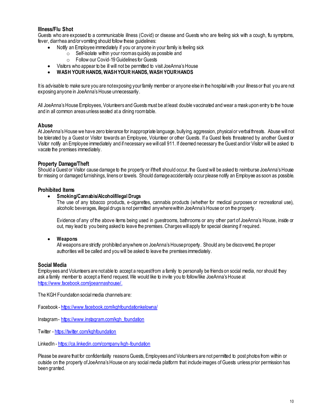## **Illness/Flu Shot**

Guests who are exposed to a communicable illness (Covid) or disease and Guests who are feeling sick with a cough, flu symptoms, fever, diarrhea and/or vomiting should follow these guidelines:

- Notify an Employee immediately if you or anyone in your family is feeling sick
	- $\circ$  Self-isolate within your room as quickly as possible and
	- o Follow our Covid-19 Guidelines for Guests
- Visitors who appear to be ill will not be permitted to visit JoeAnna's House
- **WASH YOUR HANDS, WASH YOUR HANDS, WASH YOUR HANDS**

It is advisable to make sure you are notexposing your family member or anyone else in the hospital with your illness or that you are not exposing anyone in JoeAnna's House unnecessarily.

All JoeAnna's House Employees, Volunteers and Guests must be at least double vaccinated and wear a mask upon entry to the house and in all common areas unless seated at a dining room table.

#### **Abuse**

At JoeAnna's House we have zero tolerance for inappropriate language, bullying, aggression, physical or verbal threats. Abuse will not be tolerated by a Guest or Visitor towards an Employee, Volunteer or other Guests. If a Guest feels threatened by another Guest or Visitor notify an Employee immediately and if necessary we will call 911. If deemed necessary the Guest and/or Visitor will be asked to vacate the premises immediately.

#### **Property Damage/Theft**

Should a Guest or Visitor cause damage to the property or if theft should occur, the Guest will be asked to reimburse JoeAnna's House for missing or damaged furnishings, linens or towels. Should damage accidentally occur please notify an Employee as soon as possible.

#### **Prohibited Items**

#### **Smoking/Cannabis/Alcohol/Illegal Drugs**

The use of any tobacco products, e-cigarettes, cannabis products (whether for medical purposes or recreational use), alcoholic beverages, illegal drugs is not permitted anywhere within JoeAnna's House or on the property .

Evidence of any of the above items being used in guestrooms, bathrooms or any other part of JoeAnna's House, inside or out, may lead to you being asked to leave the premises. Charges will apply for special cleaning if required.

#### **Weapons**

All weapons are strictly prohibited anywhere on JoeAnna's House property. Should any be discovered, the proper authorities will be called and you will be asked to leave the premises immediately.

#### **Social Media**

Employees and Volunteers are not able to accept a request from a family to personally be friends on social media, nor should they ask a family member to accept a friend request. We would like to invite you to follow/like JoeAnna's House at <https://www.facebook.com/joeannashouse/>.

The KGH Foundation social media channels are:

Facebook - <https://www.facebook.com/kghfoundationkelowna/>

Instagram - [https://www.instagram.com/kgh\\_foundation](https://www.instagram.com/kgh_foundation)

Twitter - <https://twitter.com/kghfoundation>

LinkedIn - <https://ca.linkedin.com/company/kgh-foundation>

Please be aware that for confidentiality reasons Guests, Employees and Volunteers are not permitted to post photos from within or outside on the property of JoeAnna's House on any social media platform that include images of Guests unless prior permission has been granted.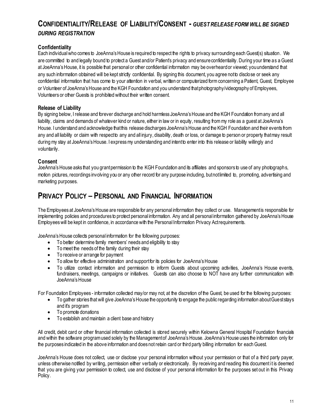# **CONFIDENTIALITY/RELEASE OF LIABILITY/CONSENT -** *GUEST RELEASE FORM WILL BE SIGNED DURING REGISTRATION*

## **Confidentiality**

Each individual who comes to JoeAnna's House is required to respect the rights to privacy surrounding each Guest(s) situation. We are committed to and legally bound to protect a Guest and/or Patient's privacy and ensure confidentiality. During your time as a Guest at JoeAnna's House, it is possible that personal or other confidential information may be overheard or viewed; you understand that any such information obtained will be kept strictly confidential. By signing this document, you agree not to disclose or seek any confidential information that has come to your attention in verbal, written or computerized form concerning a Patient, Guest, Employee or Volunteer of JoeAnna's House and the KGH Foundation and you understand that photography/videography of Employees, Volunteers or other Guests is prohibited without their written consent.

## **Release of Liability**

By signing below, I release and forever discharge and hold harmless JoeAnna's House and the KGH Foundation from any and all liability, claims and demands of whatever kind or nature, either in law or in equity, resulting from my role as a guest at JoeAnna's House. I understand and acknowledge that this release discharges JoeAnna's House and the KGH Foundation and their events from any and all liability or claim with respect to any and all injury, disability, death or loss, or damage to person or property that may result during my stay at JoeAnna's House. I express my understanding and intent to enter into this release or liability willingly and voluntarily.

## **Consent**

JoeAnna's House asks that you grant permission to the KGH Foundation and its affiliates and sponsors to use of any photographs, motion pictures, recordings involving you or any other record for any purpose including, but not limited to, promoting, advertising and marketing purposes.

# **PRIVACY POLICY – PERSONAL AND FINANCIAL INFORMATION**

The Employees at JoeAnna's House are responsible for any personal information they collect or use. Management is responsible for implementing policies and procedures to protect personal information. Any and all personal information gathered by JoeAnna's House Employees will be kept in confidence, in accordance with the Personal Information Privacy Act requirements.

JoeAnna's House collects personal information for the following purposes:

- To better determine family members' needs and eligibility to stay
- To meet the needs of the family during their stay
- To receive or arrange for payment
- To allow for effective administration and support for its policies for JoeAnna's House
- To utilize contact information and permission to inform Guests about upcoming activities, JoeAnna's House events, fundraisers, meetings, campaigns or initiatives. Guests can also choose to NOT have any further communication with JoeAnna's House

For Foundation Employees - information collected may/or may not, at the discretion of the Guest, be used for the following purposes:

- To gather stories that will give JoeAnna's House the opportunity to engage the public regarding information about Guest stays and it's program
- To promote donations
- To establish and maintain a client base and history

All credit, debit card or other financial information collected is stored securely within Kelowna General Hospital Foundation financials and within the software programused solely by the Management of JoeAnna's House. JoeAnna's House uses the information only for the purposes indicated in the above information and does not retain card or third party billing information for each Guest.

JoeAnna's House does not collect, use or disclose your personal information without your permission or that of a third party payer, unless otherwise notified by writing, permission either verbally or electronically. By receiving and reading this document it is deemed that you are giving your permission to collect, use and disclose of your personal information for the purposes set out in this Privacy Policy.